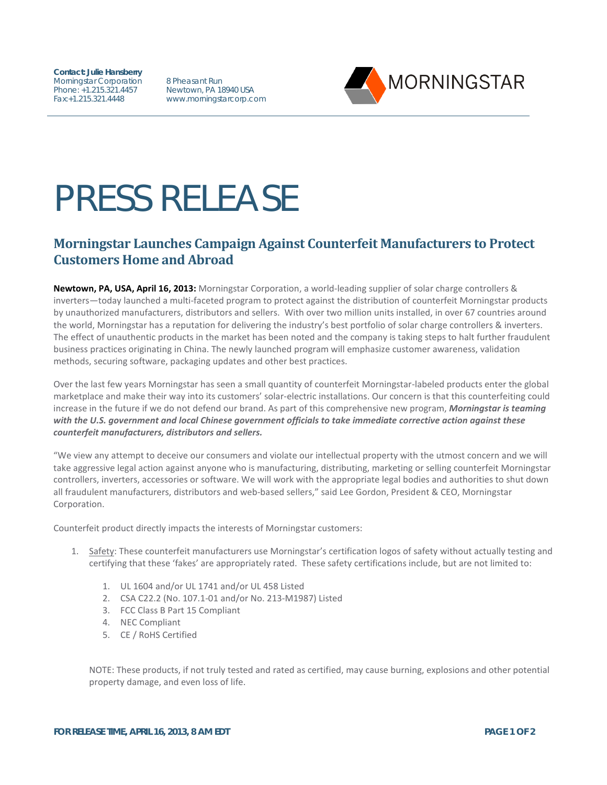**Contact: Julie Hansberry** Morningstar Corporation Phone: +1.215.321.4457 Fax:+1.215.321.4448

8 Pheasant Run Newtown, PA 18940 USA www.morningstarcorp.com



## PRESS RELEASE

## **Morningstar Launches Campaign Against Counterfeit Manufacturers to Protect Customers Home and Abroad**

**Newtown, PA, USA, April 16, 2013:** Morningstar Corporation, a world-leading supplier of solar charge controllers & inverters—today launched a multi-faceted program to protect against the distribution of counterfeit Morningstar products by unauthorized manufacturers, distributors and sellers. With over two million units installed, in over 67 countries around the world, Morningstar has a reputation for delivering the industry's best portfolio of solar charge controllers & inverters. The effect of unauthentic products in the market has been noted and the company is taking steps to halt further fraudulent business practices originating in China. The newly launched program will emphasize customer awareness, validation methods, securing software, packaging updates and other best practices.

Over the last few years Morningstar has seen a small quantity of counterfeit Morningstar-labeled products enter the global marketplace and make their way into its customers' solar-electric installations. Our concern is that this counterfeiting could increase in the future if we do not defend our brand. As part of this comprehensive new program, *Morningstar is teaming with the U.S. government and local Chinese government officials to take immediate corrective action against these counterfeit manufacturers, distributors and sellers.* 

"We view any attempt to deceive our consumers and violate our intellectual property with the utmost concern and we will take aggressive legal action against anyone who is manufacturing, distributing, marketing or selling counterfeit Morningstar controllers, inverters, accessories or software. We will work with the appropriate legal bodies and authorities to shut down all fraudulent manufacturers, distributors and web-based sellers," said Lee Gordon, President & CEO, Morningstar Corporation.

Counterfeit product directly impacts the interests of Morningstar customers:

- 1. Safety: These counterfeit manufacturers use Morningstar's certification logos of safety without actually testing and certifying that these 'fakes' are appropriately rated. These safety certifications include, but are not limited to:
	- 1. UL 1604 and/or UL 1741 and/or UL 458 Listed
	- 2. CSA C22.2 (No. 107.1-01 and/or No. 213-M1987) Listed
	- 3. FCC Class B Part 15 Compliant
	- 4. NEC Compliant
	- 5. CE / RoHS Certified

NOTE: These products, if not truly tested and rated as certified, may cause burning, explosions and other potential property damage, and even loss of life.